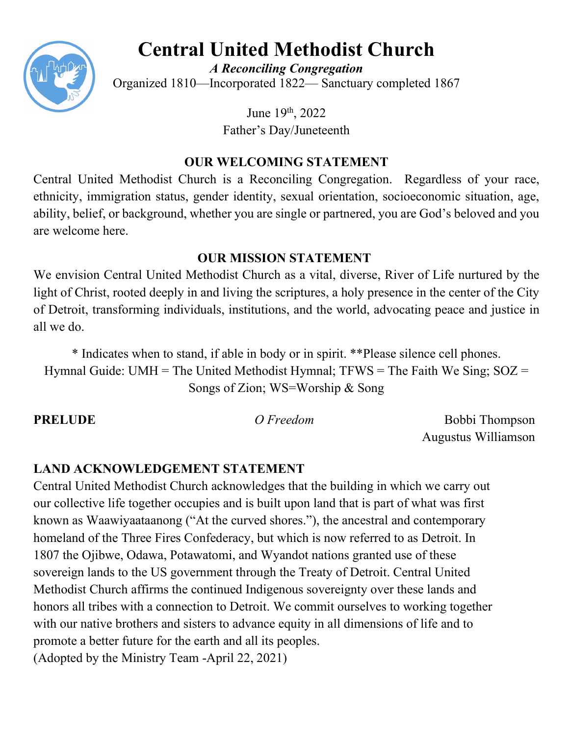

# **Central United Methodist Church**

*A Reconciling Congregation* Organized 1810—Incorporated 1822— Sanctuary completed 1867

> June 19<sup>th</sup>, 2022 Father's Day/Juneteenth

# **OUR WELCOMING STATEMENT**

Central United Methodist Church is a Reconciling Congregation. Regardless of your race, ethnicity, immigration status, gender identity, sexual orientation, socioeconomic situation, age, ability, belief, or background, whether you are single or partnered, you are God's beloved and you are welcome here.

# **OUR MISSION STATEMENT**

We envision Central United Methodist Church as a vital, diverse, River of Life nurtured by the light of Christ, rooted deeply in and living the scriptures, a holy presence in the center of the City of Detroit, transforming individuals, institutions, and the world, advocating peace and justice in all we do.

\* Indicates when to stand, if able in body or in spirit. \*\*Please silence cell phones. Hymnal Guide: UMH = The United Methodist Hymnal;  $TFWS = The Faith We Sing; SOZ =$ Songs of Zion; WS=Worship & Song

**PRELUDE** *O Freedom* Bobbi Thompson Augustus Williamson

# **LAND ACKNOWLEDGEMENT STATEMENT**

Central United Methodist Church acknowledges that the building in which we carry out our collective life together occupies and is built upon land that is part of what was first known as Waawiyaataanong ("At the curved shores."), the ancestral and contemporary homeland of the Three Fires Confederacy, but which is now referred to as Detroit. In 1807 the Ojibwe, Odawa, Potawatomi, and Wyandot nations granted use of these sovereign lands to the US government through the Treaty of Detroit. Central United Methodist Church affirms the continued Indigenous sovereignty over these lands and honors all tribes with a connection to Detroit. We commit ourselves to working together with our native brothers and sisters to advance equity in all dimensions of life and to promote a better future for the earth and all its peoples. (Adopted by the Ministry Team -April 22, 2021)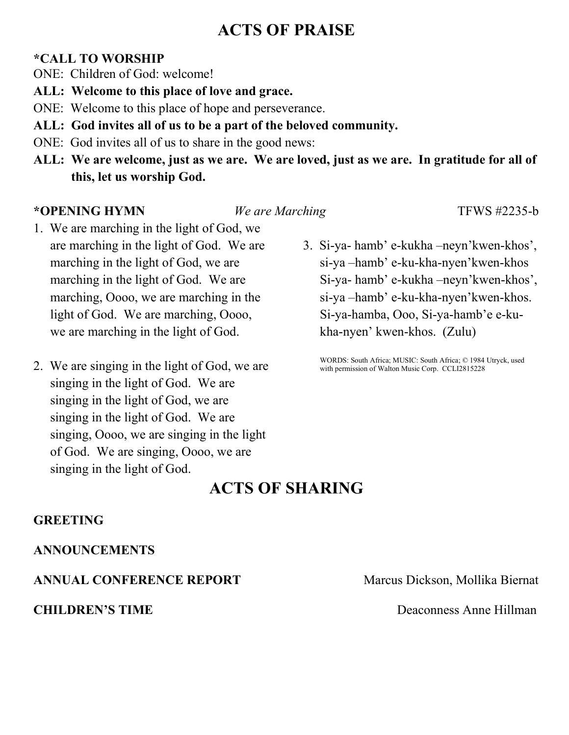# **ACTS OF PRAISE**

#### **\*CALL TO WORSHIP**

- ONE: Children of God: welcome!
- **ALL: Welcome to this place of love and grace.**
- ONE: Welcome to this place of hope and perseverance.
- **ALL: God invites all of us to be a part of the beloved community.**
- ONE: God invites all of us to share in the good news:
- **ALL: We are welcome, just as we are. We are loved, just as we are. In gratitude for all of this, let us worship God.**

### **\*OPENING HYMN** *We are Marching* TFWS #2235-b

- 1. We are marching in the light of God, we are marching in the light of God. We are marching in the light of God, we are marching in the light of God. We are marching, Oooo, we are marching in the light of God. We are marching, Oooo, we are marching in the light of God.
- 2. We are singing in the light of God, we are singing in the light of God. We are singing in the light of God, we are singing in the light of God. We are singing, Oooo, we are singing in the light of God. We are singing, Oooo, we are singing in the light of God.
- 3. Si-ya- hamb' e-kukha –neyn'kwen-khos', si-ya –hamb' e-ku-kha-nyen'kwen-khos Si-ya- hamb' e-kukha –neyn'kwen-khos', si-ya –hamb' e-ku-kha-nyen'kwen-khos. Si-ya-hamba, Ooo, Si-ya-hamb'e e-kukha-nyen' kwen-khos. (Zulu)

WORDS: South Africa; MUSIC: South Africa; © 1984 Utryck, used with permission of Walton Music Corp. CCLI2815228

# **ACTS OF SHARING**

#### **GREETING**

### **ANNOUNCEMENTS**

### **ANNUAL CONFERENCE REPORT** Marcus Dickson, Mollika Biernat

**CHILDREN'S TIME** Deaconness Anne Hillman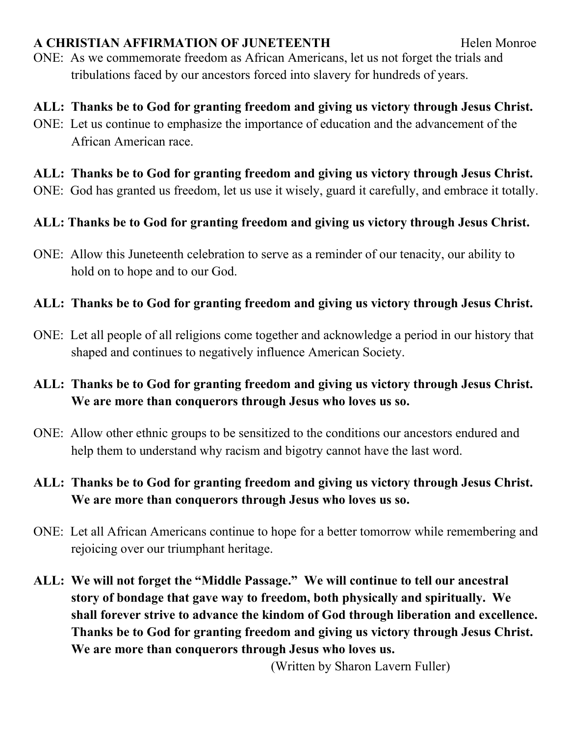## A CHRISTIAN AFFIRMATION OF JUNETEENTH Helen Monroe

ONE: As we commemorate freedom as African Americans, let us not forget the trials and tribulations faced by our ancestors forced into slavery for hundreds of years.

# **ALL: Thanks be to God for granting freedom and giving us victory through Jesus Christ.**

ONE: Let us continue to emphasize the importance of education and the advancement of the African American race.

# **ALL: Thanks be to God for granting freedom and giving us victory through Jesus Christ.**

ONE: God has granted us freedom, let us use it wisely, guard it carefully, and embrace it totally.

# **ALL: Thanks be to God for granting freedom and giving us victory through Jesus Christ.**

ONE: Allow this Juneteenth celebration to serve as a reminder of our tenacity, our ability to hold on to hope and to our God.

# **ALL: Thanks be to God for granting freedom and giving us victory through Jesus Christ.**

ONE: Let all people of all religions come together and acknowledge a period in our history that shaped and continues to negatively influence American Society.

# **ALL: Thanks be to God for granting freedom and giving us victory through Jesus Christ. We are more than conquerors through Jesus who loves us so.**

- ONE: Allow other ethnic groups to be sensitized to the conditions our ancestors endured and help them to understand why racism and bigotry cannot have the last word.
- **ALL: Thanks be to God for granting freedom and giving us victory through Jesus Christ. We are more than conquerors through Jesus who loves us so.**
- ONE: Let all African Americans continue to hope for a better tomorrow while remembering and rejoicing over our triumphant heritage.
- **ALL: We will not forget the "Middle Passage." We will continue to tell our ancestral story of bondage that gave way to freedom, both physically and spiritually. We shall forever strive to advance the kindom of God through liberation and excellence. Thanks be to God for granting freedom and giving us victory through Jesus Christ. We are more than conquerors through Jesus who loves us.**

(Written by Sharon Lavern Fuller)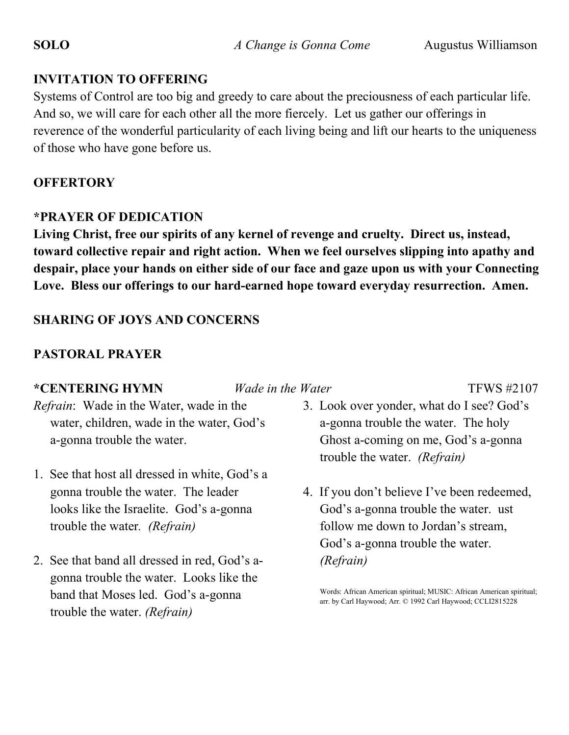## **INVITATION TO OFFERING**

Systems of Control are too big and greedy to care about the preciousness of each particular life. And so, we will care for each other all the more fiercely. Let us gather our offerings in reverence of the wonderful particularity of each living being and lift our hearts to the uniqueness of those who have gone before us.

## **OFFERTORY**

### **\*PRAYER OF DEDICATION**

**Living Christ, free our spirits of any kernel of revenge and cruelty. Direct us, instead, toward collective repair and right action. When we feel ourselves slipping into apathy and despair, place your hands on either side of our face and gaze upon us with your Connecting Love. Bless our offerings to our hard-earned hope toward everyday resurrection. Amen.**

# **SHARING OF JOYS AND CONCERNS**

# **PASTORAL PRAYER**

### **\*CENTERING HYMN** *Wade in the Water* TFWS #2107

- *Refrain*: Wade in the Water, wade in the water, children, wade in the water, God's a-gonna trouble the water.
- 1. See that host all dressed in white, God's a gonna trouble the water. The leader looks like the Israelite. God's a-gonna trouble the water*. (Refrain)*
- 2. See that band all dressed in red, God's agonna trouble the water. Looks like the band that Moses led. God's a-gonna trouble the water. *(Refrain)*

- 3. Look over yonder, what do I see? God's a-gonna trouble the water. The holy Ghost a-coming on me, God's a-gonna trouble the water. *(Refrain)*
- 4. If you don't believe I've been redeemed, God's a-gonna trouble the water. ust follow me down to Jordan's stream, God's a-gonna trouble the water. *(Refrain)*

Words: African American spiritual; MUSIC: African American spiritual; arr. by Carl Haywood; Arr. © 1992 Carl Haywood; CCLI2815228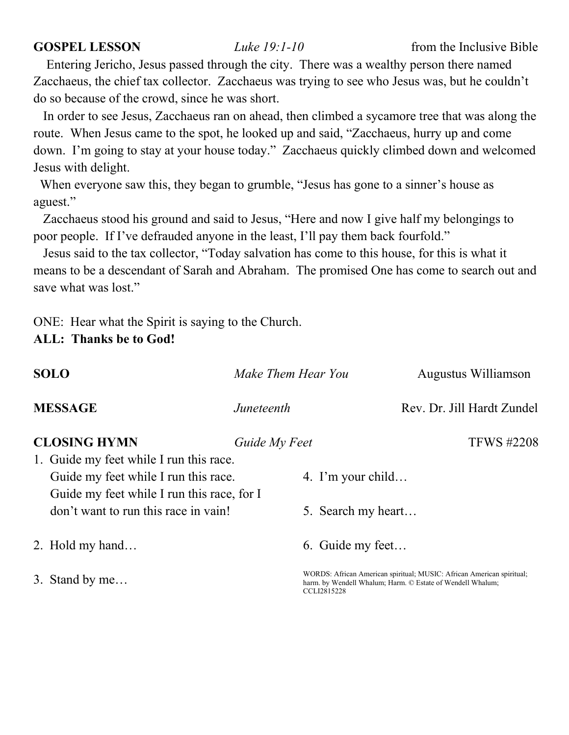Entering Jericho, Jesus passed through the city. There was a wealthy person there named Zacchaeus, the chief tax collector. Zacchaeus was trying to see who Jesus was, but he couldn't do so because of the crowd, since he was short.

 In order to see Jesus, Zacchaeus ran on ahead, then climbed a sycamore tree that was along the route. When Jesus came to the spot, he looked up and said, "Zacchaeus, hurry up and come down. I'm going to stay at your house today." Zacchaeus quickly climbed down and welcomed Jesus with delight.

 When everyone saw this, they began to grumble, "Jesus has gone to a sinner's house as aguest."

 Zacchaeus stood his ground and said to Jesus, "Here and now I give half my belongings to poor people. If I've defrauded anyone in the least, I'll pay them back fourfold."

 Jesus said to the tax collector, "Today salvation has come to this house, for this is what it means to be a descendant of Sarah and Abraham. The promised One has come to search out and save what was lost."

ONE: Hear what the Spirit is saying to the Church.

## **ALL: Thanks be to God!**

| <b>SOLO</b> |                                            | Make Them Hear You |  |                    | Augustus Williamson                                                                                                                 |  |
|-------------|--------------------------------------------|--------------------|--|--------------------|-------------------------------------------------------------------------------------------------------------------------------------|--|
|             | <b>MESSAGE</b>                             | Juneteenth         |  |                    | Rev. Dr. Jill Hardt Zundel                                                                                                          |  |
|             | <b>CLOSING HYMN</b>                        | Guide My Feet      |  |                    | <b>TFWS #2208</b>                                                                                                                   |  |
|             | 1. Guide my feet while I run this race.    |                    |  |                    |                                                                                                                                     |  |
|             | Guide my feet while I run this race.       |                    |  | 4. I'm your child  |                                                                                                                                     |  |
|             | Guide my feet while I run this race, for I |                    |  |                    |                                                                                                                                     |  |
|             | don't want to run this race in vain!       |                    |  | 5. Search my heart |                                                                                                                                     |  |
|             | 2. Hold my hand                            |                    |  | 6. Guide my feet   |                                                                                                                                     |  |
|             | 3. Stand by me                             |                    |  | CCLI2815228        | WORDS: African American spiritual; MUSIC: African American spiritual;<br>harm. by Wendell Whalum; Harm. © Estate of Wendell Whalum; |  |